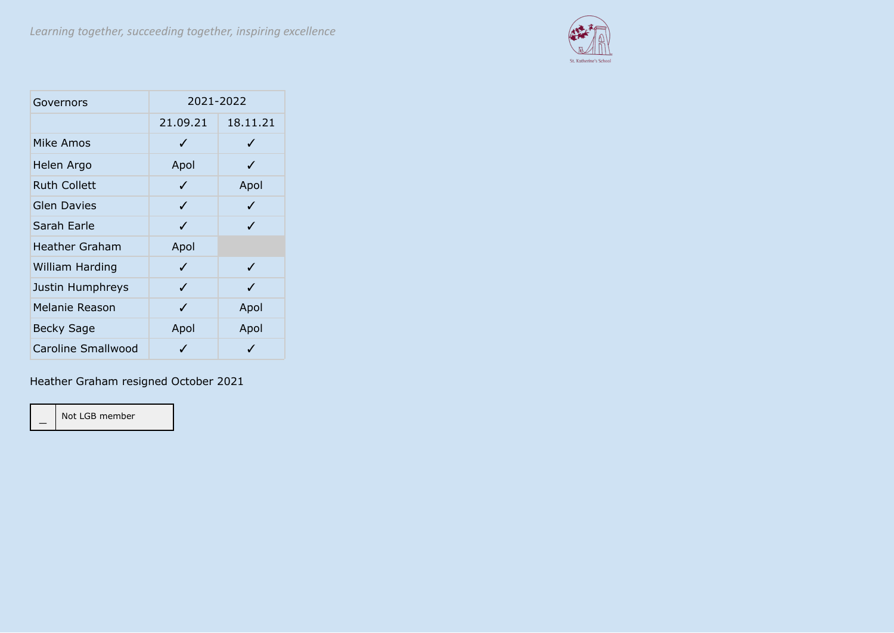

| Governors             | 2021-2022 |          |  |  |  |
|-----------------------|-----------|----------|--|--|--|
|                       | 21.09.21  | 18.11.21 |  |  |  |
| Mike Amos             | ✓         | J        |  |  |  |
| Helen Argo            | Apol      | J        |  |  |  |
| <b>Ruth Collett</b>   | ✓         | Apol     |  |  |  |
| <b>Glen Davies</b>    | ✓         | ✓        |  |  |  |
| Sarah Earle           | ✓         | ✓        |  |  |  |
| <b>Heather Graham</b> | Apol      |          |  |  |  |
| William Harding       | ✓         | ✓        |  |  |  |
| Justin Humphreys      | ✓         | J        |  |  |  |
| Melanie Reason        | ✓         | Apol     |  |  |  |
| <b>Becky Sage</b>     | Apol      | Apol     |  |  |  |
| Caroline Smallwood    | J         | J        |  |  |  |

Heather Graham resigned October 2021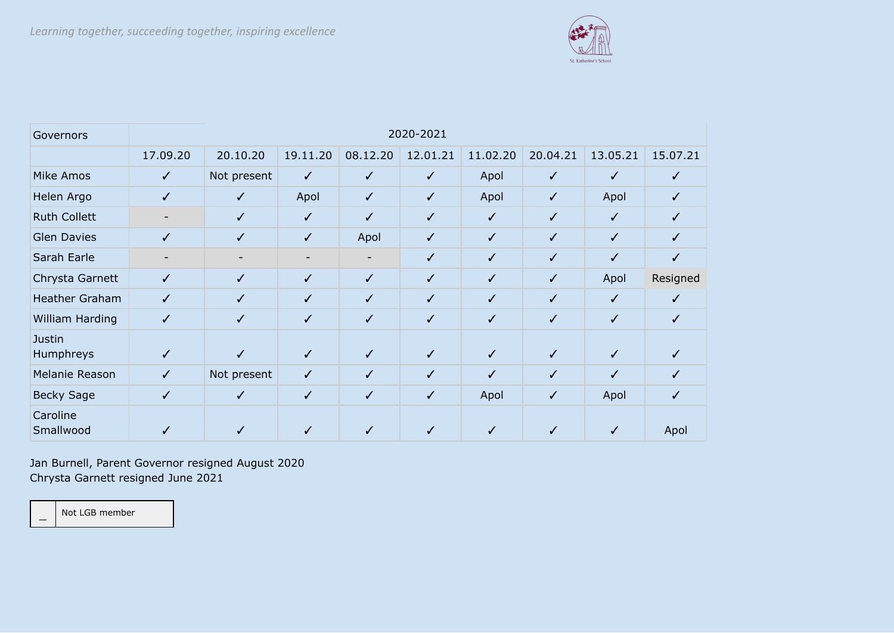

| Governors                  | 2020-2021    |              |              |              |              |              |              |              |          |
|----------------------------|--------------|--------------|--------------|--------------|--------------|--------------|--------------|--------------|----------|
|                            | 17.09.20     | 20.10.20     | 19.11.20     | 08.12.20     | 12.01.21     | 11.02.20     | 20.04.21     | 13.05.21     | 15.07.21 |
| <b>Mike Amos</b>           | $\checkmark$ | Not present  | $\checkmark$ | $\checkmark$ | $\checkmark$ | Apol         | $\checkmark$ | ✓            | ✓        |
| Helen Argo                 | ✓            | ✓            | Apol         | $\checkmark$ | $\sqrt{}$    | Apol         | $\checkmark$ | Apol         | ✓        |
| <b>Ruth Collett</b>        |              | $\sqrt{}$    | $\checkmark$ | $\checkmark$ | $\checkmark$ | $\checkmark$ | $\checkmark$ | ✓            | ✓        |
| <b>Glen Davies</b>         | ✓            | $\checkmark$ | $\checkmark$ | Apol         | $\checkmark$ | $\checkmark$ | $\checkmark$ | ✓            | ✓        |
| Sarah Earle                |              |              |              |              | $\checkmark$ | $\checkmark$ | $\checkmark$ | ✓            | ✓        |
| Chrysta Garnett            | $\checkmark$ | $\checkmark$ | $\checkmark$ | $\checkmark$ | $\checkmark$ | $\checkmark$ | $\checkmark$ | Apol         | Resigned |
| Heather Graham             | $\checkmark$ | $\checkmark$ | $\checkmark$ | $\checkmark$ | $\checkmark$ | $\checkmark$ | $\checkmark$ | $\checkmark$ | ✓        |
| William Harding            | $\checkmark$ | $\checkmark$ | $\checkmark$ | $\checkmark$ | $\checkmark$ | $\checkmark$ | $\checkmark$ | ✓            | ✓        |
| <b>Justin</b><br>Humphreys | ✓            | ✓            | $\checkmark$ | $\checkmark$ | $\checkmark$ | $\checkmark$ | $\checkmark$ | ✓            |          |
| Melanie Reason             | $\checkmark$ | Not present  | $\checkmark$ | $\checkmark$ | $\checkmark$ | $\checkmark$ | $\checkmark$ | ✓            | ✓        |
| <b>Becky Sage</b>          | $\checkmark$ | ✓            | $\checkmark$ | $\checkmark$ | $\checkmark$ | Apol         | $\checkmark$ | Apol         |          |
| Caroline<br>Smallwood      |              |              |              |              | ✓            |              |              |              | Apol     |

Jan Burnell, Parent Governor resigned August 2020 Chrysta Garnett resigned June 2021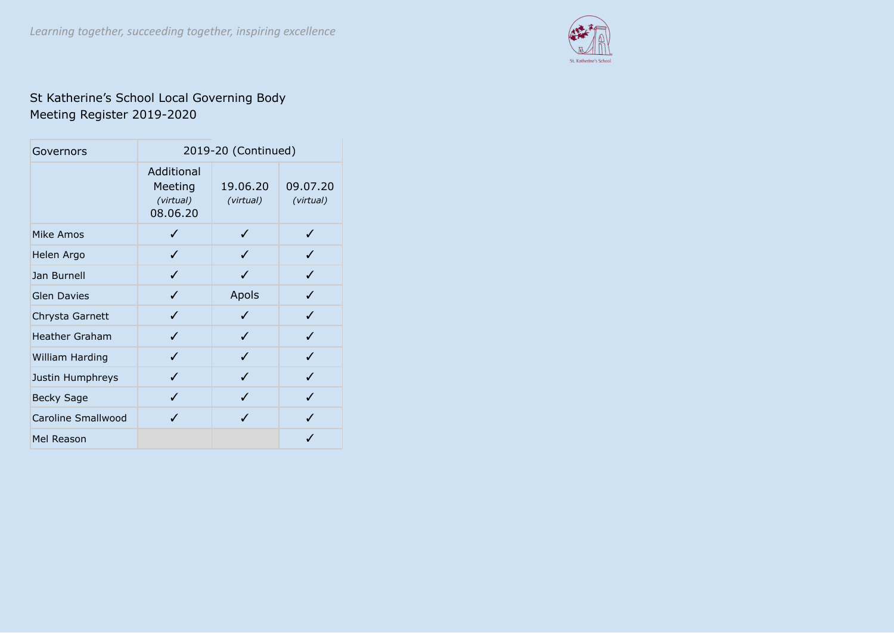

## St Katherine's School Local Governing Body Meeting Register 2019-2020

| Governors             | 2019-20 (Continued)                            |                       |                       |  |  |  |
|-----------------------|------------------------------------------------|-----------------------|-----------------------|--|--|--|
|                       | Additional<br>Meeting<br>(virtual)<br>08.06.20 | 19.06.20<br>(virtual) | 09.07.20<br>(virtual) |  |  |  |
| Mike Amos             |                                                | ✓                     |                       |  |  |  |
| Helen Argo            | J                                              |                       |                       |  |  |  |
| Jan Burnell           | J                                              |                       | $\boldsymbol{J}$      |  |  |  |
| <b>Glen Davies</b>    | J                                              | Apols                 | J                     |  |  |  |
| Chrysta Garnett       | J                                              | J                     | ℐ                     |  |  |  |
| <b>Heather Graham</b> | ✓                                              | ✓                     | ✓                     |  |  |  |
| William Harding       | J                                              | J                     | J                     |  |  |  |
| Justin Humphreys      | ✓                                              | J                     | J                     |  |  |  |
| <b>Becky Sage</b>     | J                                              | J                     | J                     |  |  |  |
| Caroline Smallwood    | ./                                             | J                     |                       |  |  |  |
| Mel Reason            |                                                |                       |                       |  |  |  |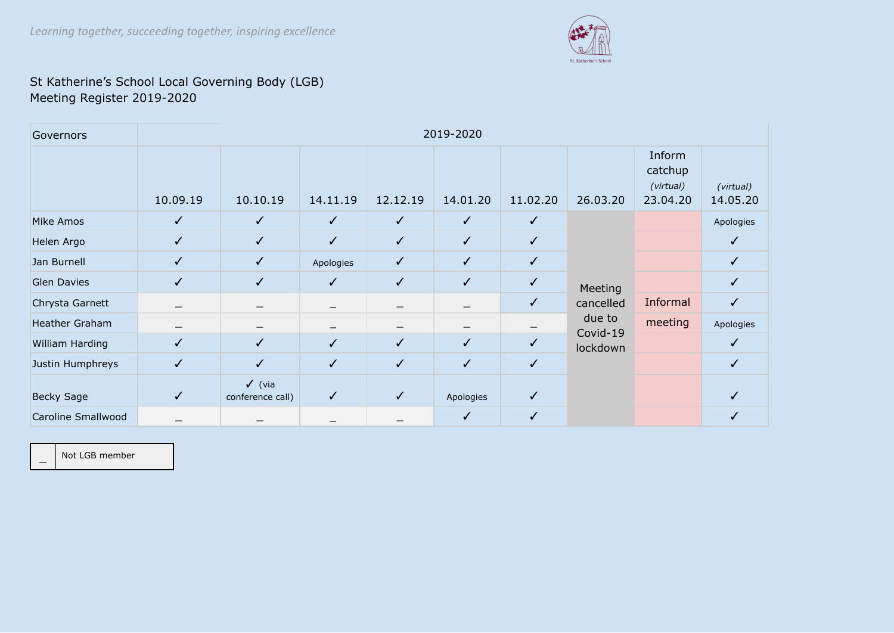

## St Katherine's School Local Governing Body (LGB) Meeting Register 2019-2020

| Governors          | 2019-2020                |                                       |              |                   |              |              |                    |                                            |                       |
|--------------------|--------------------------|---------------------------------------|--------------|-------------------|--------------|--------------|--------------------|--------------------------------------------|-----------------------|
|                    | 10.09.19                 | 10.10.19                              | 14.11.19     | 12.12.19          | 14.01.20     | 11.02.20     | 26.03.20           | Inform<br>catchup<br>(virtual)<br>23.04.20 | (virtual)<br>14.05.20 |
| Mike Amos          | $\checkmark$             | $\checkmark$                          | $\checkmark$ | $\checkmark$      | $\checkmark$ | $\checkmark$ |                    |                                            | Apologies             |
| Helen Argo         | $\checkmark$             | $\checkmark$                          | $\checkmark$ | $\checkmark$      | $\checkmark$ | ✓            |                    |                                            |                       |
| Jan Burnell        | $\checkmark$             | $\checkmark$                          | Apologies    | $\checkmark$      | $\checkmark$ | ✓            |                    |                                            | ✓                     |
| <b>Glen Davies</b> | ✓                        | $\checkmark$                          | $\checkmark$ | $\checkmark$      | $\checkmark$ | ✓            | Meeting            |                                            |                       |
| Chrysta Garnett    | —                        |                                       |              | $\qquad \qquad -$ |              | $\checkmark$ | cancelled          | Informal                                   | ✓                     |
| Heather Graham     | $\overline{\phantom{0}}$ |                                       |              |                   |              |              | due to<br>Covid-19 | meeting                                    | Apologies             |
| William Harding    | $\checkmark$             | $\checkmark$                          | $\checkmark$ | $\checkmark$      | $\checkmark$ | ✓            | lockdown           |                                            | ✓                     |
| Justin Humphreys   | ✓                        | ✓                                     | $\checkmark$ | $\checkmark$      | $\checkmark$ | ✓            |                    |                                            |                       |
| <b>Becky Sage</b>  | $\checkmark$             | $\checkmark$ (via<br>conference call) | $\checkmark$ | $\checkmark$      | Apologies    | ✓            |                    |                                            |                       |
| Caroline Smallwood |                          |                                       |              |                   | ✓            | ✓            |                    |                                            |                       |